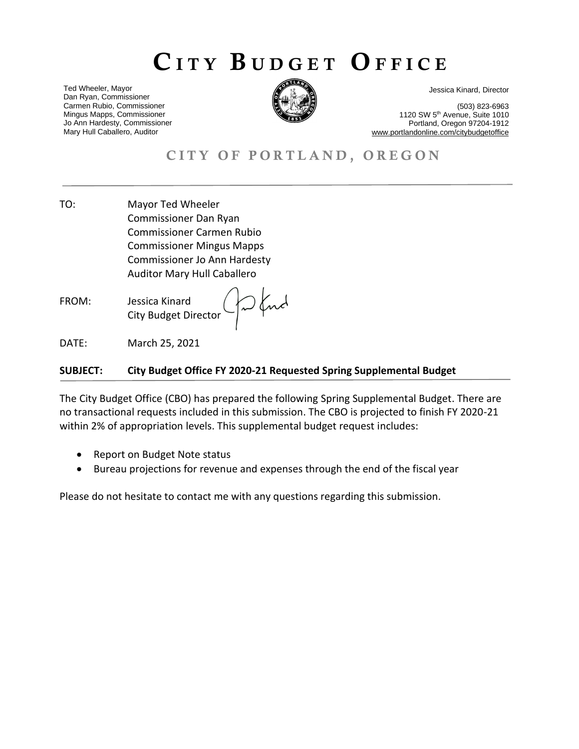# CITY BUDGET OFFICE

Ted Wheeler, Mayor Dan Ryan, Commissioner Carmen Rubio, Commissioner Mingus Mapps, Commissioner Jo Ann Hardesty, Commissioner Mary Hull Caballero, Auditor



Jessica Kinard, Director

(503) 823-6963 1120 SW 5th Avenue, Suite 1010 Portland, Oregon 97204-1912 www.portlandonline.com/citybudgetoffice

# CITY OF PORTLAND, OREGON

- TO: Mayor Ted Wheeler CITY BUDGET OFFICE Commissioner Dan Ryan Commissioner Carmen Rubio Commissioner Mingus Mapps Commissioner Jo Ann Hardesty Auditor Mary Hull Caballero
- FROM: Jessica Kinard City Budget Director

DATE: March 25, 2021

### **SUBJECT: City Budget Office FY 2020-21 Requested Spring Supplemental Budget**

Ind

The City Budget Office (CBO) has prepared the following Spring Supplemental Budget. There are no transactional requests included in this submission. The CBO is projected to finish FY 2020-21 within 2% of appropriation levels. This supplemental budget request includes:

- Report on Budget Note status
- Bureau projections for revenue and expenses through the end of the fiscal year

Please do not hesitate to contact me with any questions regarding this submission.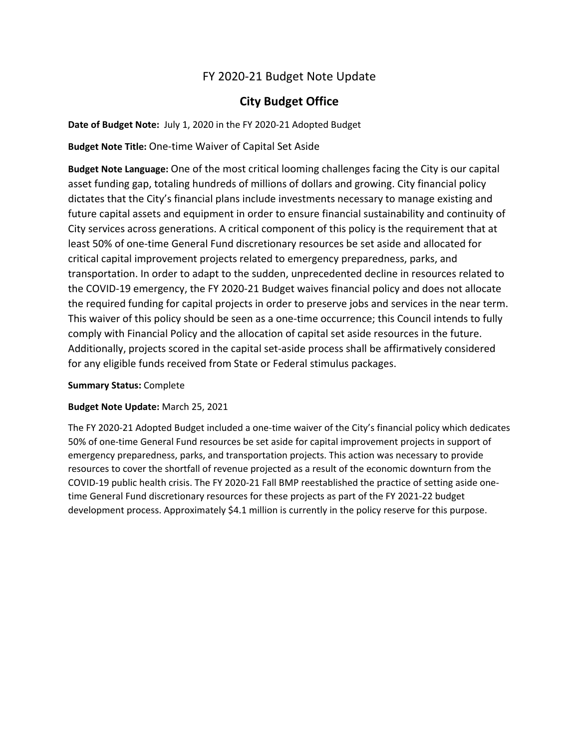# FY 2020-21 Budget Note Update

### **City Budget Office**

**Date of Budget Note:** July 1, 2020 in the FY 2020-21 Adopted Budget

**Budget Note Title:** One-time Waiver of Capital Set Aside

**Budget Note Language:** One of the most critical looming challenges facing the City is our capital asset funding gap, totaling hundreds of millions of dollars and growing. City financial policy dictates that the City's financial plans include investments necessary to manage existing and future capital assets and equipment in order to ensure financial sustainability and continuity of City services across generations. A critical component of this policy is the requirement that at least 50% of one-time General Fund discretionary resources be set aside and allocated for critical capital improvement projects related to emergency preparedness, parks, and transportation. In order to adapt to the sudden, unprecedented decline in resources related to the COVID-19 emergency, the FY 2020-21 Budget waives financial policy and does not allocate the required funding for capital projects in order to preserve jobs and services in the near term. This waiver of this policy should be seen as a one-time occurrence; this Council intends to fully comply with Financial Policy and the allocation of capital set aside resources in the future. Additionally, projects scored in the capital set-aside process shall be affirmatively considered for any eligible funds received from State or Federal stimulus packages.

### **Summary Status:** Complete

### **Budget Note Update:** March 25, 2021

The FY 2020-21 Adopted Budget included a one-time waiver of the City's financial policy which dedicates 50% of one-time General Fund resources be set aside for capital improvement projects in support of emergency preparedness, parks, and transportation projects. This action was necessary to provide resources to cover the shortfall of revenue projected as a result of the economic downturn from the COVID-19 public health crisis. The FY 2020-21 Fall BMP reestablished the practice of setting aside onetime General Fund discretionary resources for these projects as part of the FY 2021-22 budget development process. Approximately \$4.1 million is currently in the policy reserve for this purpose.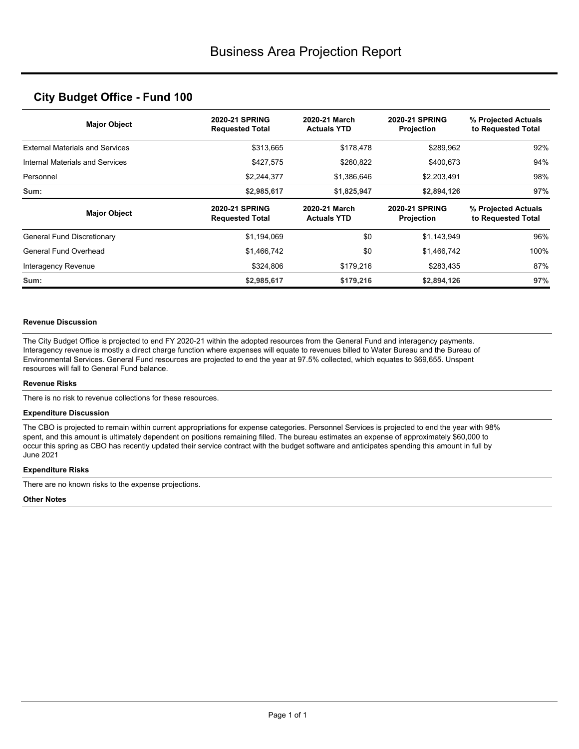### **City Budget Office - Fund 100**

| <b>Major Object</b>                    | <b>2020-21 SPRING</b><br><b>Requested Total</b> | 2020-21 March<br><b>Actuals YTD</b> | <b>2020-21 SPRING</b><br>Projection        | % Projected Actuals<br>to Requested Total |
|----------------------------------------|-------------------------------------------------|-------------------------------------|--------------------------------------------|-------------------------------------------|
| <b>External Materials and Services</b> | \$313,665                                       | \$178,478                           | \$289,962                                  | 92%                                       |
| Internal Materials and Services        | \$427,575                                       | \$260,822                           | \$400,673                                  | 94%                                       |
| Personnel                              | \$2,244,377                                     | \$1,386,646                         | \$2,203,491                                | 98%                                       |
| Sum:                                   | \$2,985,617                                     | \$1,825,947                         | \$2,894,126                                | 97%                                       |
|                                        |                                                 |                                     |                                            |                                           |
| <b>Major Object</b>                    | <b>2020-21 SPRING</b><br><b>Requested Total</b> | 2020-21 March<br><b>Actuals YTD</b> | <b>2020-21 SPRING</b><br><b>Projection</b> | % Projected Actuals<br>to Requested Total |
| <b>General Fund Discretionary</b>      | \$1,194,069                                     | \$0                                 | \$1,143,949                                | 96%                                       |
| General Fund Overhead                  | \$1,466,742                                     | \$0                                 | \$1,466,742                                | 100%                                      |
| Interagency Revenue                    | \$324,806                                       | \$179,216                           | \$283,435                                  | 87%                                       |

#### **Revenue Discussion**

The City Budget Office is projected to end FY 2020-21 within the adopted resources from the General Fund and interagency payments. Interagency revenue is mostly a direct charge function where expenses will equate to revenues billed to Water Bureau and the Bureau of Environmental Services. General Fund resources are projected to end the year at 97.5% collected, which equates to \$69,655. Unspent resources will fall to General Fund balance.

#### **Revenue Risks**

There is no risk to revenue collections for these resources.

#### **Expenditure Discussion**

The CBO is projected to remain within current appropriations for expense categories. Personnel Services is projected to end the year with 98% spent, and this amount is ultimately dependent on positions remaining filled. The bureau estimates an expense of approximately \$60,000 to occur this spring as CBO has recently updated their service contract with the budget software and anticipates spending this amount in full by June 2021

#### **Expenditure Risks**

There are no known risks to the expense projections.

#### **Other Notes**